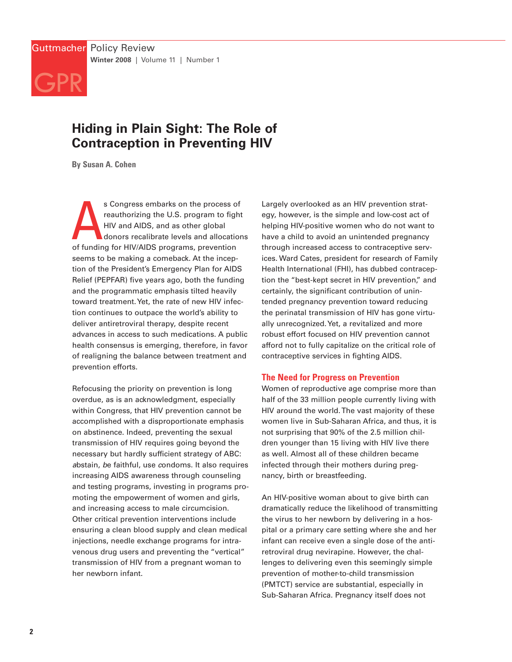

# **Hiding in Plain Sight: The Role of Contraception in Preventing HIV**

**By Susan A. Cohen**

s Congress embarks on the process c<br>reauthorizing the U.S. program to fig<br>HIV and AIDS, and as other global<br>donors recalibrate levels and allocation<br>of funding for HIV/AIDS programs, prevention s Congress embarks on the process of reauthorizing the U.S. program to fight HIV and AIDS, and as other global donors recalibrate levels and allocations seems to be making a comeback. At the inception of the President's Emergency Plan for AIDS Relief (PEPFAR) five years ago, both the funding and the programmatic emphasis tilted heavily toward treatment.Yet, the rate of new HIV infection continues to outpace the world's ability to deliver antiretroviral therapy, despite recent advances in access to such medications. A public health consensus is emerging, therefore, in favor of realigning the balance between treatment and prevention efforts.

Refocusing the priority on prevention is long overdue, as is an acknowledgment, especially within Congress, that HIV prevention cannot be accomplished with a disproportionate emphasis on abstinence. Indeed, preventing the sexual transmission of HIV requires going beyond the necessary but hardly sufficient strategy of ABC: abstain, be faithful, use condoms. It also requires increasing AIDS awareness through counseling and testing programs, investing in programs promoting the empowerment of women and girls, and increasing access to male circumcision. Other critical prevention interventions include ensuring a clean blood supply and clean medical injections, needle exchange programs for intravenous drug users and preventing the "vertical" transmission of HIV from a pregnant woman to her newborn infant.

Largely overlooked as an HIV prevention strategy, however, is the simple and low-cost act of helping HIV-positive women who do not want to have a child to avoid an unintended pregnancy through increased access to contraceptive services. Ward Cates, president for research of Family Health International (FHI), has dubbed contraception the "best-kept secret in HIV prevention," and certainly, the significant contribution of unintended pregnancy prevention toward reducing the perinatal transmission of HIV has gone virtually unrecognized.Yet, a revitalized and more robust effort focused on HIV prevention cannot afford not to fully capitalize on the critical role of contraceptive services in fighting AIDS.

## **The Need for Progress on Prevention**

Women of reproductive age comprise more than half of the 33 million people currently living with HIV around the world. The vast majority of these women live in Sub-Saharan Africa, and thus, it is not surprising that 90% of the 2.5 million children younger than 15 living with HIV live there as well. Almost all of these children became infected through their mothers during pregnancy, birth or breastfeeding.

An HIV-positive woman about to give birth can dramatically reduce the likelihood of transmitting the virus to her newborn by delivering in a hospital or a primary care setting where she and her infant can receive even a single dose of the antiretroviral drug nevirapine. However, the challenges to delivering even this seemingly simple prevention of mother-to-child transmission (PMTCT) service are substantial, especially in Sub-Saharan Africa. Pregnancy itself does not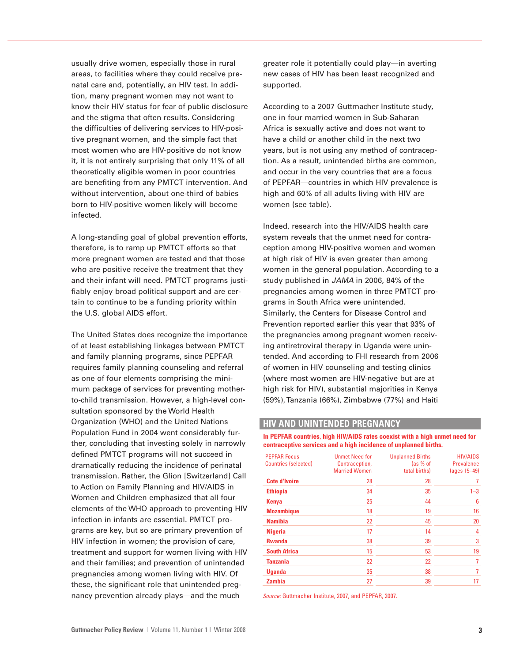usually drive women, especially those in rural areas, to facilities where they could receive prenatal care and, potentially, an HIV test. In addition, many pregnant women may not want to know their HIV status for fear of public disclosure and the stigma that often results. Considering the difficulties of delivering services to HIV-positive pregnant women, and the simple fact that most women who are HIV-positive do not know it, it is not entirely surprising that only 11% of all theoretically eligible women in poor countries are benefiting from any PMTCT intervention. And without intervention, about one-third of babies born to HIV-positive women likely will become infected.

A long-standing goal of global prevention efforts, therefore, is to ramp up PMTCT efforts so that more pregnant women are tested and that those who are positive receive the treatment that they and their infant will need. PMTCT programs justifiably enjoy broad political support and are certain to continue to be a funding priority within the U.S. global AIDS effort.

The United States does recognize the importance of at least establishing linkages between PMTCT and family planning programs, since PEPFAR requires family planning counseling and referral as one of four elements comprising the minimum package of services for preventing motherto-child transmission. However, a high-level consultation sponsored by the World Health Organization (WHO) and the United Nations Population Fund in 2004 went considerably further, concluding that investing solely in narrowly defined PMTCT programs will not succeed in dramatically reducing the incidence of perinatal transmission. Rather, the Glion [Switzerland] Call to Action on Family Planning and HIV/AIDS in Women and Children emphasized that all four elements of the WHO approach to preventing HIV infection in infants are essential. PMTCT programs are key, but so are primary prevention of HIV infection in women; the provision of care, treatment and support for women living with HIV and their families; and prevention of unintended pregnancies among women living with HIV. Of these, the significant role that unintended pregnancy prevention already plays—and the much

greater role it potentially could play—in averting new cases of HIV has been least recognized and supported.

According to a 2007 Guttmacher Institute study, one in four married women in Sub-Saharan Africa is sexually active and does not want to have a child or another child in the next two years, but is not using any method of contraception. As a result, unintended births are common, and occur in the very countries that are a focus of PEPFAR—countries in which HIV prevalence is high and 60% of all adults living with HIV are women (see table).

Indeed, research into the HIV/AIDS health care system reveals that the unmet need for contraception among HIV-positive women and women at high risk of HIV is even greater than among women in the general population. According to a study published in JAMA in 2006, 84% of the pregnancies among women in three PMTCT programs in South Africa were unintended. Similarly, the Centers for Disease Control and Prevention reported earlier this year that 93% of the pregnancies among pregnant women receiving antiretroviral therapy in Uganda were unintended. And according to FHI research from 2006 of women in HIV counseling and testing clinics (where most women are HIV-negative but are at high risk for HIV), substantial majorities in Kenya (59%), Tanzania (66%), Zimbabwe (77%) and Haiti

#### **HIV AND UNINTENDED PREGNANCY**

**In PEPFAR countries, high HIV/AIDS rates coexist with a high unmet need for contraceptive services and a high incidence of unplanned births.**

| <b>PEPFAR Focus</b><br><b>Countries (selected)</b> | <b>Unmet Need for</b><br>Contraception,<br><b>Married Women</b> | <b>Unplanned Births</b><br>(as % of<br>total births) | <b>HIV/AIDS</b><br><b>Prevalence</b><br>(ages 15-49) |
|----------------------------------------------------|-----------------------------------------------------------------|------------------------------------------------------|------------------------------------------------------|
| <b>Cote d'Ivoire</b>                               | 28                                                              | 28                                                   | 7                                                    |
| <b>Ethiopia</b>                                    | 34                                                              | 35                                                   | $1 - 3$                                              |
| Kenya                                              | 25                                                              | 44                                                   | 6                                                    |
| <b>Mozambique</b>                                  | 18                                                              | 19                                                   | 16                                                   |
| <b>Namibia</b>                                     | 22                                                              | 45                                                   | 20                                                   |
| <b>Nigeria</b>                                     | 17                                                              | 14                                                   | 4                                                    |
| <b>Rwanda</b>                                      | 38                                                              | 39                                                   | 3                                                    |
| <b>South Africa</b>                                | 15                                                              | 53                                                   | 19                                                   |
| <b>Tanzania</b>                                    | 22                                                              | 22                                                   | 7                                                    |
| <b>Uganda</b>                                      | 35                                                              | 38                                                   | 7                                                    |
| <b>Zambia</b>                                      | 27                                                              | 39                                                   | 17                                                   |

Source: Guttmacher Institute, 2007, and PEPFAR, 2007.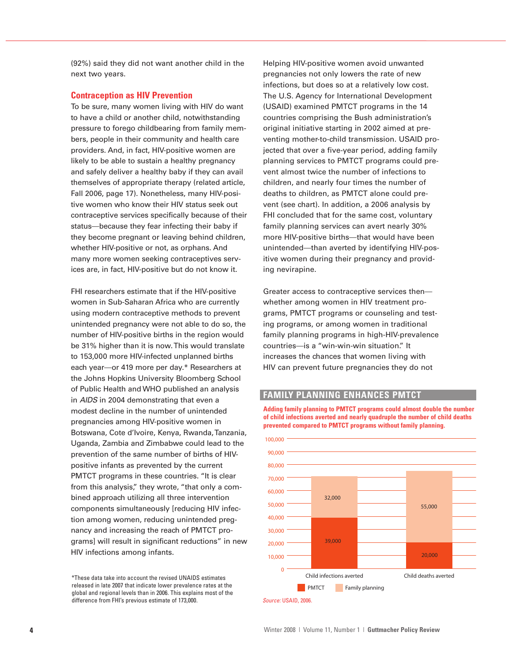(92%) said they did not want another child in the next two years.

#### **Contraception as HIV Prevention**

To be sure, many women living with HIV do want to have a child or another child, notwithstanding pressure to forego childbearing from family members, people in their community and health care providers. And, in fact, HIV-positive women are likely to be able to sustain a healthy pregnancy and safely deliver a healthy baby if they can avail themselves of appropriate therapy (related article, Fall 2006, page 17). Nonetheless, many HIV-positive women who know their HIV status seek out contraceptive services specifically because of their status—because they fear infecting their baby if they become pregnant or leaving behind children, whether HIV-positive or not, as orphans. And many more women seeking contraceptives services are, in fact, HIV-positive but do not know it.

FHI researchers estimate that if the HIV-positive women in Sub-Saharan Africa who are currently using modern contraceptive methods to prevent unintended pregnancy were not able to do so, the number of HIV-positive births in the region would be 31% higher than it is now.This would translate to 153,000 more HIV-infected unplanned births each year—or 419 more per day.\* Researchers at the Johns Hopkins University Bloomberg School of Public Health and WHO published an analysis in AIDS in 2004 demonstrating that even a modest decline in the number of unintended pregnancies among HIV-positive women in Botswana, Cote d'Ivoire, Kenya, Rwanda,Tanzania, Uganda, Zambia and Zimbabwe could lead to the prevention of the same number of births of HIVpositive infants as prevented by the current PMTCT programs in these countries. "It is clear from this analysis," they wrote, "that only a combined approach utilizing all three intervention components simultaneously [reducing HIV infection among women, reducing unintended pregnancy and increasing the reach of PMTCT programs] will result in significant reductions" in new HIV infections among infants.

\*These data take into account the revised UNAIDS estimates released in late 2007 that indicate lower prevalence rates at the global and regional levels than in 2006. This explains most of the difference from FHI's previous estimate of 173,000.

Helping HIV-positive women avoid unwanted pregnancies not only lowers the rate of new infections, but does so at a relatively low cost. The U.S. Agency for International Development (USAID) examined PMTCT programs in the 14 countries comprising the Bush administration's original initiative starting in 2002 aimed at preventing mother-to-child transmission. USAID projected that over a five-year period, adding family planning services to PMTCT programs could prevent almost twice the number of infections to children, and nearly four times the number of deaths to children, as PMTCT alone could prevent (see chart). In addition, a 2006 analysis by FHI concluded that for the same cost, voluntary family planning services can avert nearly 30% more HIV-positive births—that would have been unintended—than averted by identifying HIV-positive women during their pregnancy and providing nevirapine.

Greater access to contraceptive services then whether among women in HIV treatment programs, PMTCT programs or counseling and testing programs, or among women in traditional family planning programs in high-HIV-prevalence countries—is a "win-win-win situation." It increases the chances that women living with HIV can prevent future pregnancies they do not

### **FAMILY PLANNING ENHANCES PMTCT**

**Adding family planning to PMTCT programs could almost double the number of child infections averted and nearly quadruple the number of child deaths prevented compared to PMTCT programs without family planning.**



Source: USAID, 2006.